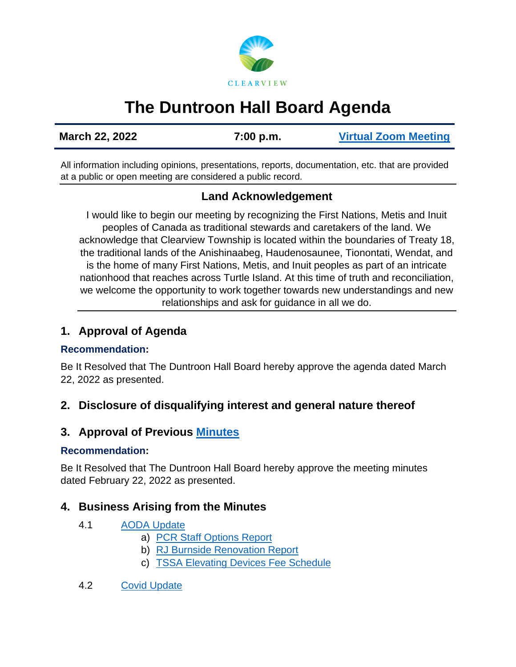

# **The Duntroon Hall Board Agenda**

**March 22, 2022 7:00 p.m. [Virtual Zoom Meeting](https://us02web.zoom.us/j/83961517027)**

All information including opinions, presentations, reports, documentation, etc. that are provided at a public or open meeting are considered a public record.

## **Land Acknowledgement**

I would like to begin our meeting by recognizing the First Nations, Metis and Inuit peoples of Canada as traditional stewards and caretakers of the land. We acknowledge that Clearview Township is located within the boundaries of Treaty 18, the traditional lands of the Anishinaabeg, Haudenosaunee, Tionontati, Wendat, and is the home of many First Nations, Metis, and Inuit peoples as part of an intricate nationhood that reaches across Turtle Island. At this time of truth and reconciliation, we welcome the opportunity to work together towards new understandings and new relationships and ask for guidance in all we do.

## **1. Approval of Agenda**

#### **Recommendation:**

Be It Resolved that The Duntroon Hall Board hereby approve the agenda dated March 22, 2022 as presented.

## **2. Disclosure of disqualifying interest and general nature thereof**

## **3. Approval of Previous [Minutes](https://www.clearview.ca/sites/default/files/uploads/publications/2022-02-22_duntroon_hall_board_minutes.pdf)**

#### **Recommendation:**

Be It Resolved that The Duntroon Hall Board hereby approve the meeting minutes dated February 22, 2022 as presented.

## **4. Business Arising from the Minutes**

- 4.1 [AODA Update](https://www.clearview.ca/sites/default/files/uploads/publications/2022-03-07_aoda.pdf)
	- a) [PCR Staff Options Report](https://www.clearview.ca/sites/default/files/uploads/publications/pcr-002-2022_community_halls_accessibility_and_inclusion_report_tv_rev2.pdf)
	- b) [RJ Burnside Renovation Report](https://www.clearview.ca/sites/default/files/uploads/publications/appendix_a_-_rj_burnsides_small_halls_proposed_renovations_feb_252022.pdf)
	- c) TSSA [Elevating Devices Fee Schedule](https://www.clearview.ca/sites/default/files/uploads/publications/appendix_b_-_tssa_elevating-devices-fee-schedule_v1.1.pdf)
- 4.2 [Covid Update](https://www.clearview.ca/sites/default/files/uploads/publications/2022-03-01_covid_update.pdf)